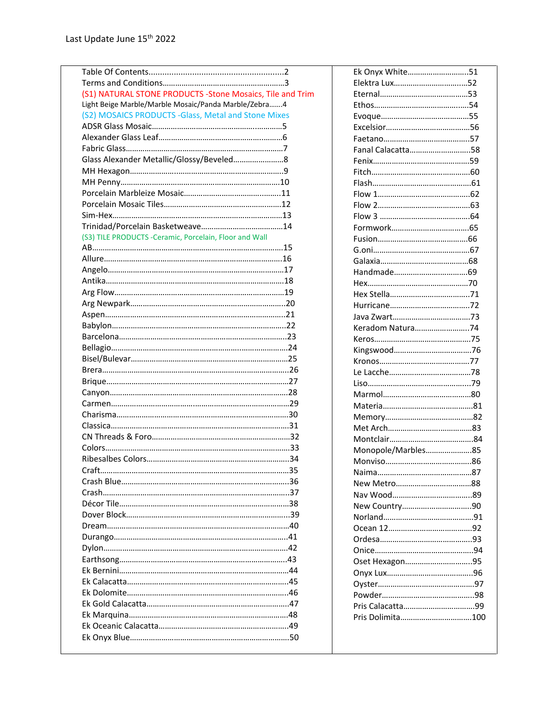| (S1) NATURAL STONE PRODUCTS -Stone Mosaics, Tile and Trim<br>Light Beige Marble/Marble Mosaic/Panda Marble/Zebra4<br>(S2) MOSAICS PRODUCTS -Glass, Metal and Stone Mixes<br>Fanal Calacatta58<br>(S3) TILE PRODUCTS -Ceramic, Porcelain, Floor and Wall<br>Keradom Natura74<br>Monopole/Marbles85<br>Oset Hexagon95 | Ek Onyx White51 |  |
|---------------------------------------------------------------------------------------------------------------------------------------------------------------------------------------------------------------------------------------------------------------------------------------------------------------------|-----------------|--|
|                                                                                                                                                                                                                                                                                                                     |                 |  |
|                                                                                                                                                                                                                                                                                                                     |                 |  |
|                                                                                                                                                                                                                                                                                                                     |                 |  |
|                                                                                                                                                                                                                                                                                                                     |                 |  |
|                                                                                                                                                                                                                                                                                                                     |                 |  |
|                                                                                                                                                                                                                                                                                                                     |                 |  |
|                                                                                                                                                                                                                                                                                                                     |                 |  |
|                                                                                                                                                                                                                                                                                                                     |                 |  |
|                                                                                                                                                                                                                                                                                                                     |                 |  |
|                                                                                                                                                                                                                                                                                                                     |                 |  |
|                                                                                                                                                                                                                                                                                                                     |                 |  |
|                                                                                                                                                                                                                                                                                                                     |                 |  |
|                                                                                                                                                                                                                                                                                                                     |                 |  |
|                                                                                                                                                                                                                                                                                                                     |                 |  |
|                                                                                                                                                                                                                                                                                                                     |                 |  |
|                                                                                                                                                                                                                                                                                                                     |                 |  |
|                                                                                                                                                                                                                                                                                                                     |                 |  |
|                                                                                                                                                                                                                                                                                                                     |                 |  |
|                                                                                                                                                                                                                                                                                                                     |                 |  |
|                                                                                                                                                                                                                                                                                                                     |                 |  |
|                                                                                                                                                                                                                                                                                                                     |                 |  |
|                                                                                                                                                                                                                                                                                                                     |                 |  |
|                                                                                                                                                                                                                                                                                                                     |                 |  |
|                                                                                                                                                                                                                                                                                                                     |                 |  |
|                                                                                                                                                                                                                                                                                                                     |                 |  |
|                                                                                                                                                                                                                                                                                                                     |                 |  |
|                                                                                                                                                                                                                                                                                                                     |                 |  |
|                                                                                                                                                                                                                                                                                                                     |                 |  |
|                                                                                                                                                                                                                                                                                                                     |                 |  |
|                                                                                                                                                                                                                                                                                                                     |                 |  |
|                                                                                                                                                                                                                                                                                                                     |                 |  |
|                                                                                                                                                                                                                                                                                                                     |                 |  |
|                                                                                                                                                                                                                                                                                                                     |                 |  |
|                                                                                                                                                                                                                                                                                                                     |                 |  |
|                                                                                                                                                                                                                                                                                                                     |                 |  |
|                                                                                                                                                                                                                                                                                                                     |                 |  |
|                                                                                                                                                                                                                                                                                                                     |                 |  |
|                                                                                                                                                                                                                                                                                                                     |                 |  |
|                                                                                                                                                                                                                                                                                                                     |                 |  |
|                                                                                                                                                                                                                                                                                                                     |                 |  |
|                                                                                                                                                                                                                                                                                                                     |                 |  |
|                                                                                                                                                                                                                                                                                                                     |                 |  |
|                                                                                                                                                                                                                                                                                                                     |                 |  |
|                                                                                                                                                                                                                                                                                                                     |                 |  |
|                                                                                                                                                                                                                                                                                                                     |                 |  |
|                                                                                                                                                                                                                                                                                                                     |                 |  |
|                                                                                                                                                                                                                                                                                                                     |                 |  |
|                                                                                                                                                                                                                                                                                                                     |                 |  |
|                                                                                                                                                                                                                                                                                                                     |                 |  |
|                                                                                                                                                                                                                                                                                                                     |                 |  |
|                                                                                                                                                                                                                                                                                                                     |                 |  |
|                                                                                                                                                                                                                                                                                                                     |                 |  |